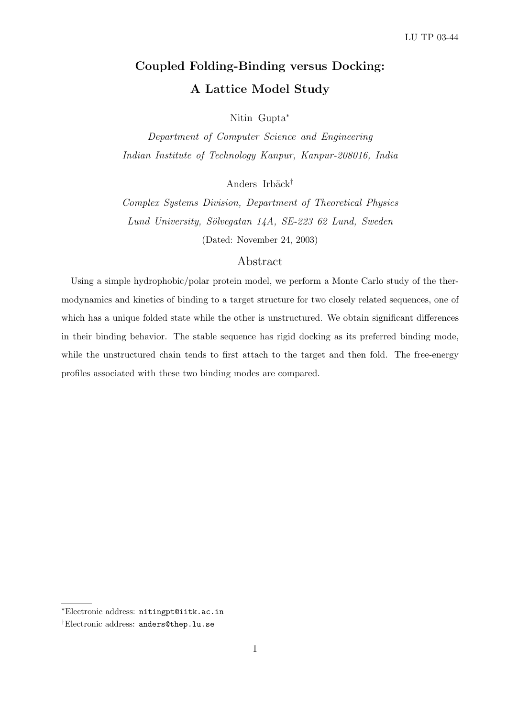# Coupled Folding-Binding versus Docking: A Lattice Model Study

Nitin Gupta<sup>∗</sup>

Department of Computer Science and Engineering Indian Institute of Technology Kanpur, Kanpur-208016, India

Anders Irbäck<sup>†</sup>

Complex Systems Division, Department of Theoretical Physics Lund University, Sölvegatan 14A, SE-223 62 Lund, Sweden (Dated: November 24, 2003)

# Abstract

Using a simple hydrophobic/polar protein model, we perform a Monte Carlo study of the thermodynamics and kinetics of binding to a target structure for two closely related sequences, one of which has a unique folded state while the other is unstructured. We obtain significant differences in their binding behavior. The stable sequence has rigid docking as its preferred binding mode, while the unstructured chain tends to first attach to the target and then fold. The free-energy profiles associated with these two binding modes are compared.

<sup>∗</sup>Electronic address: nitingpt@iitk.ac.in

<sup>†</sup>Electronic address: anders@thep.lu.se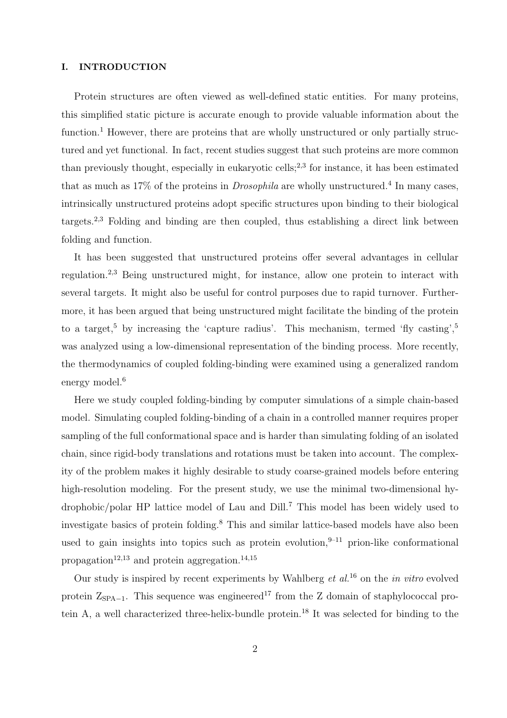### I. INTRODUCTION

Protein structures are often viewed as well-defined static entities. For many proteins, this simplified static picture is accurate enough to provide valuable information about the function.<sup>1</sup> However, there are proteins that are wholly unstructured or only partially structured and yet functional. In fact, recent studies suggest that such proteins are more common than previously thought, especially in eukaryotic cells;<sup>2,3</sup> for instance, it has been estimated that as much as 17% of the proteins in *Drosophila* are wholly unstructured.<sup>4</sup> In many cases, intrinsically unstructured proteins adopt specific structures upon binding to their biological targets.<sup>2,3</sup> Folding and binding are then coupled, thus establishing a direct link between folding and function.

It has been suggested that unstructured proteins offer several advantages in cellular regulation.2,3 Being unstructured might, for instance, allow one protein to interact with several targets. It might also be useful for control purposes due to rapid turnover. Furthermore, it has been argued that being unstructured might facilitate the binding of the protein to a target,<sup>5</sup> by increasing the 'capture radius'. This mechanism, termed 'fly casting',<sup>5</sup> was analyzed using a low-dimensional representation of the binding process. More recently, the thermodynamics of coupled folding-binding were examined using a generalized random energy model.<sup>6</sup>

Here we study coupled folding-binding by computer simulations of a simple chain-based model. Simulating coupled folding-binding of a chain in a controlled manner requires proper sampling of the full conformational space and is harder than simulating folding of an isolated chain, since rigid-body translations and rotations must be taken into account. The complexity of the problem makes it highly desirable to study coarse-grained models before entering high-resolution modeling. For the present study, we use the minimal two-dimensional hydrophobic/polar HP lattice model of Lau and Dill.<sup>7</sup> This model has been widely used to investigate basics of protein folding.<sup>8</sup> This and similar lattice-based models have also been used to gain insights into topics such as protein evolution,  $9-11$  prion-like conformational propagation<sup>12,13</sup> and protein aggregation.<sup>14,15</sup>

Our study is inspired by recent experiments by Wahlberg  $et al.<sup>16</sup>$  on the in vitro evolved protein  $Z_{\text{SPA}-1}$ . This sequence was engineered<sup>17</sup> from the Z domain of staphylococcal protein A, a well characterized three-helix-bundle protein.<sup>18</sup> It was selected for binding to the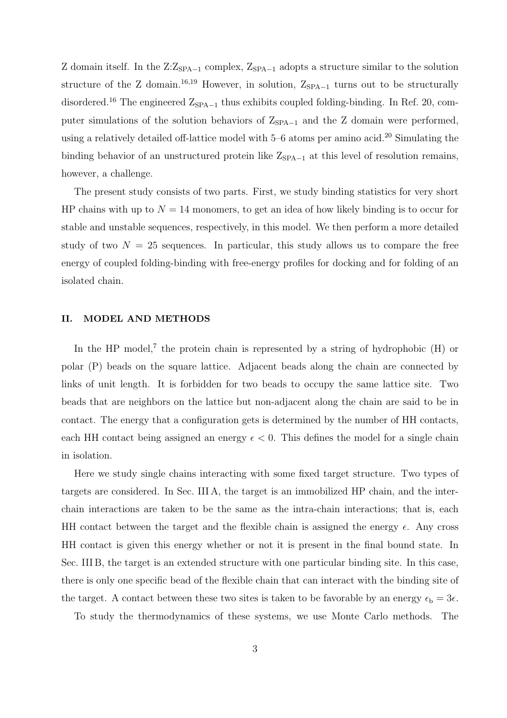Z domain itself. In the  $Z:Z_{\text{SPA}-1}$  complex,  $Z_{\text{SPA}-1}$  adopts a structure similar to the solution structure of the Z domain.<sup>16,19</sup> However, in solution,  $Z_{SPA-1}$  turns out to be structurally disordered.<sup>16</sup> The engineered  $Z_{\text{SPA}-1}$  thus exhibits coupled folding-binding. In Ref. 20, computer simulations of the solution behaviors of  $Z_{\text{SPA}-1}$  and the Z domain were performed, using a relatively detailed off-lattice model with  $5-6$  atoms per amino acid.<sup>20</sup> Simulating the binding behavior of an unstructured protein like  $Z_{SPA-1}$  at this level of resolution remains, however, a challenge.

The present study consists of two parts. First, we study binding statistics for very short HP chains with up to  $N = 14$  monomers, to get an idea of how likely binding is to occur for stable and unstable sequences, respectively, in this model. We then perform a more detailed study of two  $N = 25$  sequences. In particular, this study allows us to compare the free energy of coupled folding-binding with free-energy profiles for docking and for folding of an isolated chain.

#### II. MODEL AND METHODS

In the HP model,<sup>7</sup> the protein chain is represented by a string of hydrophobic  $(H)$  or polar (P) beads on the square lattice. Adjacent beads along the chain are connected by links of unit length. It is forbidden for two beads to occupy the same lattice site. Two beads that are neighbors on the lattice but non-adjacent along the chain are said to be in contact. The energy that a configuration gets is determined by the number of HH contacts, each HH contact being assigned an energy  $\epsilon < 0$ . This defines the model for a single chain in isolation.

Here we study single chains interacting with some fixed target structure. Two types of targets are considered. In Sec. III A, the target is an immobilized HP chain, and the interchain interactions are taken to be the same as the intra-chain interactions; that is, each HH contact between the target and the flexible chain is assigned the energy  $\epsilon$ . Any cross HH contact is given this energy whether or not it is present in the final bound state. In Sec. III B, the target is an extended structure with one particular binding site. In this case, there is only one specific bead of the flexible chain that can interact with the binding site of the target. A contact between these two sites is taken to be favorable by an energy  $\epsilon_{\rm b} = 3\epsilon$ .

To study the thermodynamics of these systems, we use Monte Carlo methods. The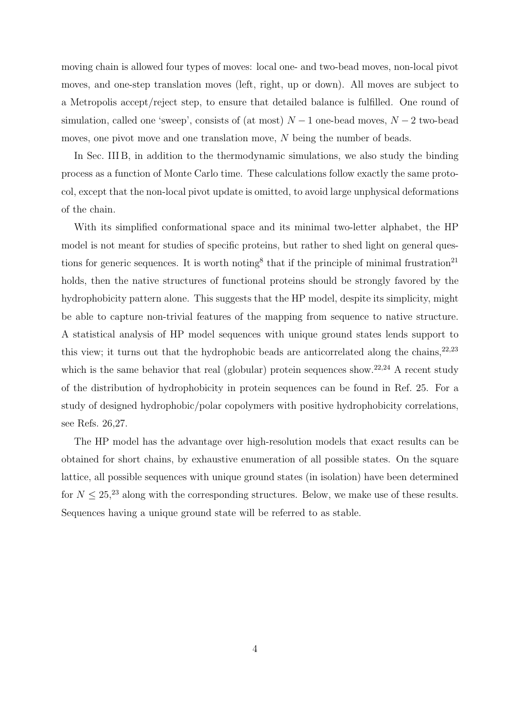moving chain is allowed four types of moves: local one- and two-bead moves, non-local pivot moves, and one-step translation moves (left, right, up or down). All moves are subject to a Metropolis accept/reject step, to ensure that detailed balance is fulfilled. One round of simulation, called one 'sweep', consists of (at most)  $N-1$  one-bead moves,  $N-2$  two-bead moves, one pivot move and one translation move, N being the number of beads.

In Sec. III B, in addition to the thermodynamic simulations, we also study the binding process as a function of Monte Carlo time. These calculations follow exactly the same protocol, except that the non-local pivot update is omitted, to avoid large unphysical deformations of the chain.

With its simplified conformational space and its minimal two-letter alphabet, the HP model is not meant for studies of specific proteins, but rather to shed light on general questions for generic sequences. It is worth noting<sup>8</sup> that if the principle of minimal frustration<sup>21</sup> holds, then the native structures of functional proteins should be strongly favored by the hydrophobicity pattern alone. This suggests that the HP model, despite its simplicity, might be able to capture non-trivial features of the mapping from sequence to native structure. A statistical analysis of HP model sequences with unique ground states lends support to this view; it turns out that the hydrophobic beads are anticorrelated along the chains,  $22,23$ which is the same behavior that real (globular) protein sequences show.<sup>22,24</sup> A recent study of the distribution of hydrophobicity in protein sequences can be found in Ref. 25. For a study of designed hydrophobic/polar copolymers with positive hydrophobicity correlations, see Refs. 26,27.

The HP model has the advantage over high-resolution models that exact results can be obtained for short chains, by exhaustive enumeration of all possible states. On the square lattice, all possible sequences with unique ground states (in isolation) have been determined for  $N \leq 25$ ,<sup>23</sup> along with the corresponding structures. Below, we make use of these results. Sequences having a unique ground state will be referred to as stable.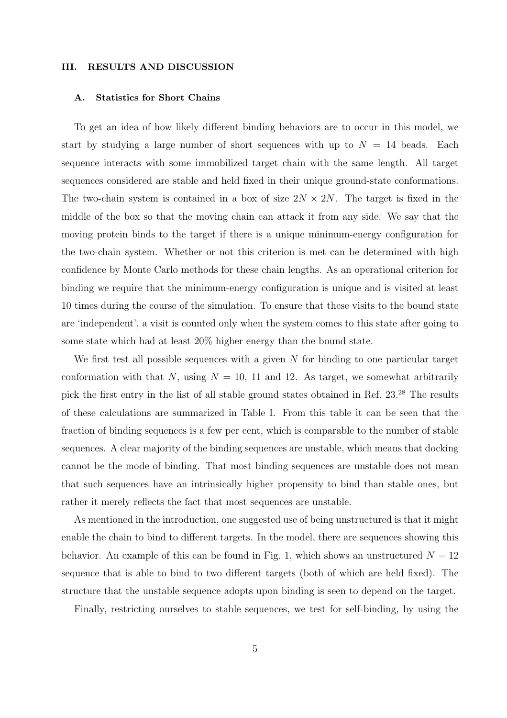#### III. RESULTS AND DISCUSSION

#### A. Statistics for Short Chains

To get an idea of how likely different binding behaviors are to occur in this model, we start by studying a large number of short sequences with up to  $N = 14$  beads. Each sequence interacts with some immobilized target chain with the same length. All target sequences considered are stable and held fixed in their unique ground-state conformations. The two-chain system is contained in a box of size  $2N \times 2N$ . The target is fixed in the middle of the box so that the moving chain can attack it from any side. We say that the moving protein binds to the target if there is a unique minimum-energy configuration for the two-chain system. Whether or not this criterion is met can be determined with high confidence by Monte Carlo methods for these chain lengths. As an operational criterion for binding we require that the minimum-energy configuration is unique and is visited at least 10 times during the course of the simulation. To ensure that these visits to the bound state are 'independent', a visit is counted only when the system comes to this state after going to some state which had at least 20% higher energy than the bound state.

We first test all possible sequences with a given  $N$  for binding to one particular target conformation with that N, using  $N = 10$ , 11 and 12. As target, we somewhat arbitrarily pick the first entry in the list of all stable ground states obtained in Ref. 23.<sup>28</sup> The results of these calculations are summarized in Table I. From this table it can be seen that the fraction of binding sequences is a few per cent, which is comparable to the number of stable sequences. A clear majority of the binding sequences are unstable, which means that docking cannot be the mode of binding. That most binding sequences are unstable does not mean that such sequences have an intrinsically higher propensity to bind than stable ones, but rather it merely reflects the fact that most sequences are unstable.

As mentioned in the introduction, one suggested use of being unstructured is that it might enable the chain to bind to different targets. In the model, there are sequences showing this behavior. An example of this can be found in Fig. 1, which shows an unstructured  $N = 12$ sequence that is able to bind to two different targets (both of which are held fixed). The structure that the unstable sequence adopts upon binding is seen to depend on the target.

Finally, restricting ourselves to stable sequences, we test for self-binding, by using the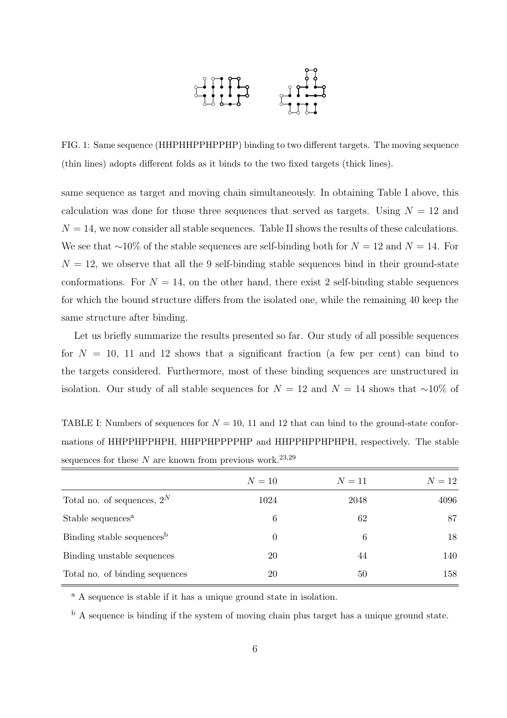

FIG. 1: Same sequence (HHPHHPPHPPHP) binding to two different targets. The moving sequence (thin lines) adopts different folds as it binds to the two fixed targets (thick lines).

same sequence as target and moving chain simultaneously. In obtaining Table I above, this calculation was done for those three sequences that served as targets. Using  $N = 12$  and  $N = 14$ , we now consider all stable sequences. Table II shows the results of these calculations. We see that ~10% of the stable sequences are self-binding both for  $N = 12$  and  $N = 14$ . For  $N = 12$ , we observe that all the 9 self-binding stable sequences bind in their ground-state conformations. For  $N = 14$ , on the other hand, there exist 2 self-binding stable sequences for which the bound structure differs from the isolated one, while the remaining 40 keep the same structure after binding.

Let us briefly summarize the results presented so far. Our study of all possible sequences for  $N = 10$ , 11 and 12 shows that a significant fraction (a few per cent) can bind to the targets considered. Furthermore, most of these binding sequences are unstructured in isolation. Our study of all stable sequences for  $N = 12$  and  $N = 14$  shows that ∼10% of

TABLE I: Numbers of sequences for  $N = 10$ , 11 and 12 that can bind to the ground-state conformations of HHPPHPPHPH, HHPPHPPPPHP and HHPPHPPHPHPH, respectively. The stable sequences for these  $N$  are known from previous work.<sup>23,29</sup>

|                                       | $N=10$ | $N=11$ | $N=12$ |
|---------------------------------------|--------|--------|--------|
| Total no. of sequences, $2^N$         | 1024   | 2048   | 4096   |
| Stable sequences <sup>a</sup>         | 6      | 62     | 87     |
| Binding stable sequences <sup>b</sup> | 0      | 6      | 18     |
| Binding unstable sequences            | 20     | 44     | 140    |
| Total no. of binding sequences        | 20     | 50     | 158    |

<sup>a</sup> A sequence is stable if it has a unique ground state in isolation.

<sup>b</sup> A sequence is binding if the system of moving chain plus target has a unique ground state.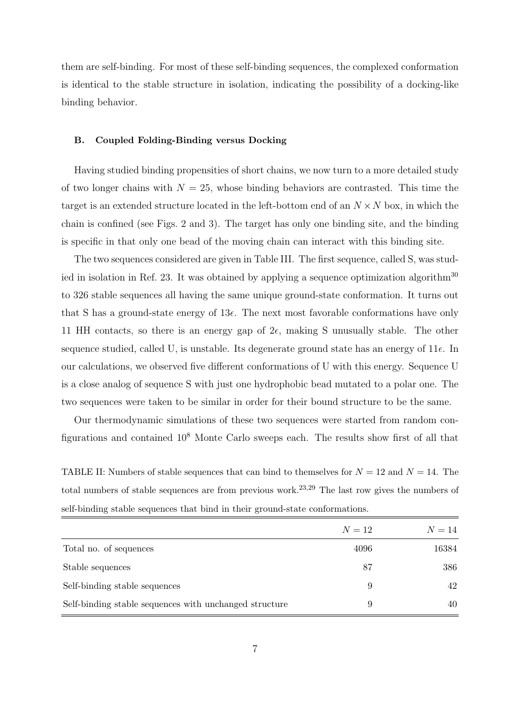them are self-binding. For most of these self-binding sequences, the complexed conformation is identical to the stable structure in isolation, indicating the possibility of a docking-like binding behavior.

#### B. Coupled Folding-Binding versus Docking

Having studied binding propensities of short chains, we now turn to a more detailed study of two longer chains with  $N = 25$ , whose binding behaviors are contrasted. This time the target is an extended structure located in the left-bottom end of an  $N \times N$  box, in which the chain is confined (see Figs. 2 and 3). The target has only one binding site, and the binding is specific in that only one bead of the moving chain can interact with this binding site.

The two sequences considered are given in Table III. The first sequence, called S, was studied in isolation in Ref. 23. It was obtained by applying a sequence optimization algorithm<sup>30</sup> to 326 stable sequences all having the same unique ground-state conformation. It turns out that S has a ground-state energy of  $13\epsilon$ . The next most favorable conformations have only 11 HH contacts, so there is an energy gap of  $2\epsilon$ , making S unusually stable. The other sequence studied, called U, is unstable. Its degenerate ground state has an energy of  $11\epsilon$ . In our calculations, we observed five different conformations of U with this energy. Sequence U is a close analog of sequence S with just one hydrophobic bead mutated to a polar one. The two sequences were taken to be similar in order for their bound structure to be the same.

Our thermodynamic simulations of these two sequences were started from random configurations and contained 10<sup>8</sup> Monte Carlo sweeps each. The results show first of all that

TABLE II: Numbers of stable sequences that can bind to themselves for  $N = 12$  and  $N = 14$ . The total numbers of stable sequences are from previous work.<sup>23,29</sup> The last row gives the numbers of self-binding stable sequences that bind in their ground-state conformations.

|                                                        | $N=12$ | $N=14$ |
|--------------------------------------------------------|--------|--------|
| Total no. of sequences                                 | 4096   | 16384  |
| Stable sequences                                       | 87     | 386    |
| Self-binding stable sequences                          | 9      | 42     |
| Self-binding stable sequences with unchanged structure | 9      | 40     |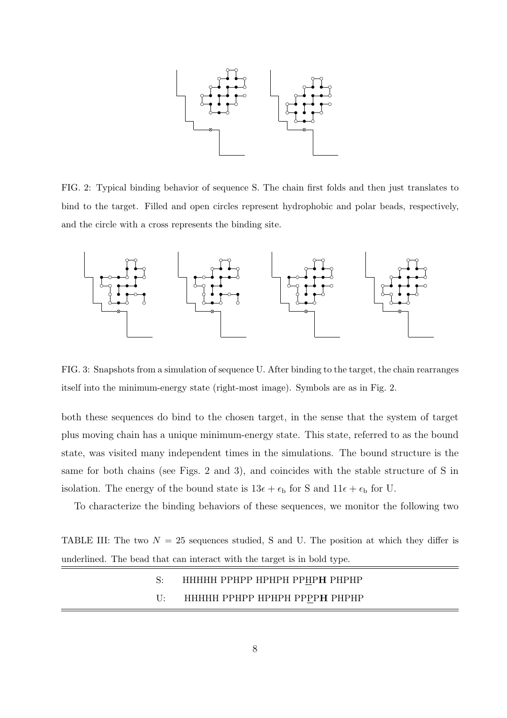

FIG. 2: Typical binding behavior of sequence S. The chain first folds and then just translates to bind to the target. Filled and open circles represent hydrophobic and polar beads, respectively, and the circle with a cross represents the binding site.



FIG. 3: Snapshots from a simulation of sequence U. After binding to the target, the chain rearranges itself into the minimum-energy state (right-most image). Symbols are as in Fig. 2.

both these sequences do bind to the chosen target, in the sense that the system of target plus moving chain has a unique minimum-energy state. This state, referred to as the bound state, was visited many independent times in the simulations. The bound structure is the same for both chains (see Figs. 2 and 3), and coincides with the stable structure of S in isolation. The energy of the bound state is  $13\epsilon + \epsilon_b$  for S and  $11\epsilon + \epsilon_b$  for U.

To characterize the binding behaviors of these sequences, we monitor the following two

TABLE III: The two  $N = 25$  sequences studied, S and U. The position at which they differ is underlined. The bead that can interact with the target is in bold type.

# S: HHHHH PPHPP HPHPH PPHPH PHPHP U: HHHHH PPHPP HPHPH PPPPH PHPHP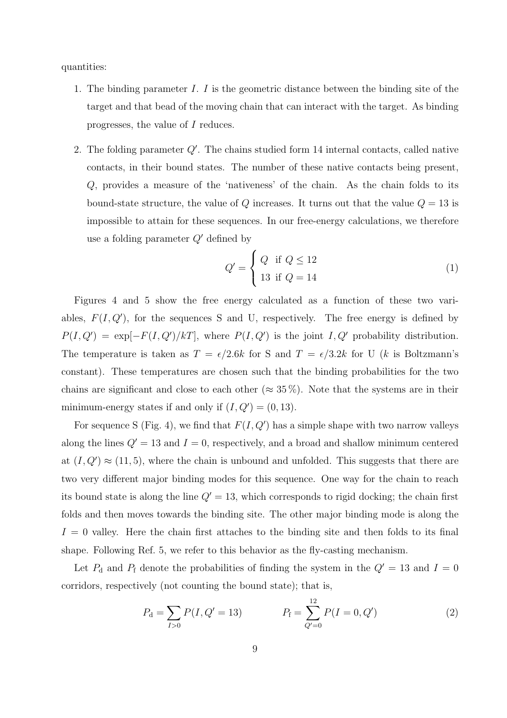quantities:

- 1. The binding parameter  $I. I$  is the geometric distance between the binding site of the target and that bead of the moving chain that can interact with the target. As binding progresses, the value of I reduces.
- 2. The folding parameter  $Q'$ . The chains studied form 14 internal contacts, called native contacts, in their bound states. The number of these native contacts being present, Q, provides a measure of the 'nativeness' of the chain. As the chain folds to its bound-state structure, the value of  $Q$  increases. It turns out that the value  $Q = 13$  is impossible to attain for these sequences. In our free-energy calculations, we therefore use a folding parameter  $Q'$  defined by  $\overline{\phantom{a}}$

$$
Q' = \begin{cases} Q & \text{if } Q \le 12 \\ 13 & \text{if } Q = 14 \end{cases}
$$
 (1)

Figures 4 and 5 show the free energy calculated as a function of these two variables,  $F(I, Q')$ , for the sequences S and U, respectively. The free energy is defined by  $P(I, Q') = \exp[-F(I, Q')/k]$ , where  $P(I, Q')$  is the joint I, Q' probability distribution. The temperature is taken as  $T = \epsilon/2.6k$  for S and  $T = \epsilon/3.2k$  for U (k is Boltzmann's constant). These temperatures are chosen such that the binding probabilities for the two chains are significant and close to each other ( $\approx 35\%$ ). Note that the systems are in their minimum-energy states if and only if  $(I, Q') = (0, 13)$ .

For sequence S (Fig. 4), we find that  $F(I, Q')$  has a simple shape with two narrow valleys along the lines  $Q' = 13$  and  $I = 0$ , respectively, and a broad and shallow minimum centered at  $(I, Q') \approx (11, 5)$ , where the chain is unbound and unfolded. This suggests that there are two very different major binding modes for this sequence. One way for the chain to reach its bound state is along the line  $Q' = 13$ , which corresponds to rigid docking; the chain first folds and then moves towards the binding site. The other major binding mode is along the  $I = 0$  valley. Here the chain first attaches to the binding site and then folds to its final shape. Following Ref. 5, we refer to this behavior as the fly-casting mechanism.

Let  $P_d$  and  $P_f$  denote the probabilities of finding the system in the  $Q' = 13$  and  $I = 0$ corridors, respectively (not counting the bound state); that is,

$$
P_{\rm d} = \sum_{I>0} P(I, Q'=13) \qquad P_{\rm f} = \sum_{Q'=0}^{12} P(I=0, Q') \qquad (2)
$$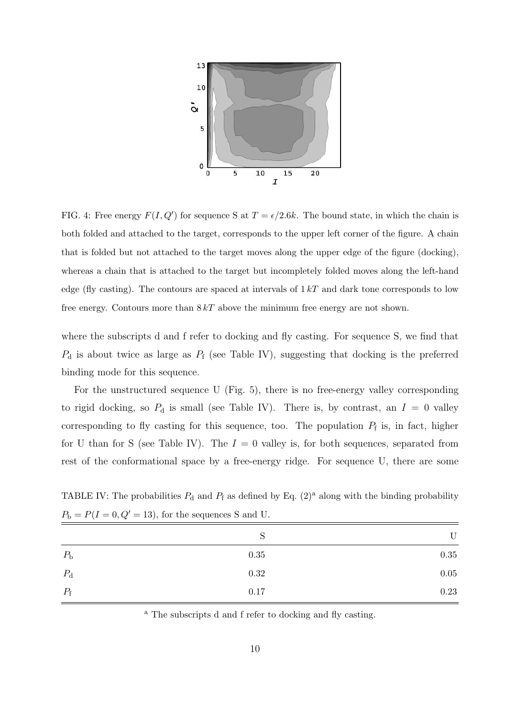

FIG. 4: Free energy  $F(I, Q')$  for sequence S at  $T = \epsilon/2.6k$ . The bound state, in which the chain is both folded and attached to the target, corresponds to the upper left corner of the figure. A chain that is folded but not attached to the target moves along the upper edge of the figure (docking), whereas a chain that is attached to the target but incompletely folded moves along the left-hand edge (fly casting). The contours are spaced at intervals of  $1 kT$  and dark tone corresponds to low free energy. Contours more than  $8kT$  above the minimum free energy are not shown.

where the subscripts d and f refer to docking and fly casting. For sequence S, we find that  $P_d$  is about twice as large as  $P_f$  (see Table IV), suggesting that docking is the preferred binding mode for this sequence.

For the unstructured sequence U (Fig. 5), there is no free-energy valley corresponding to rigid docking, so  $P_d$  is small (see Table IV). There is, by contrast, an  $I = 0$  valley corresponding to fly casting for this sequence, too. The population  $P_f$  is, in fact, higher for U than for S (see Table IV). The  $I = 0$  valley is, for both sequences, separated from rest of the conformational space by a free-energy ridge. For sequence U, there are some

TABLE IV: The probabilities  $P_d$  and  $P_f$  as defined by Eq. (2)<sup>a</sup> along with the binding probability  $P_{\rm b} = P(I = 0, Q' = 13)$ , for the sequences S and U.

|             | N    | U        |
|-------------|------|----------|
| $P_{\rm b}$ | 0.35 | $0.35\,$ |
| $P_{\rm d}$ | 0.32 | $0.05\,$ |
| $P_{\rm f}$ | 0.17 | 0.23     |

<sup>a</sup> The subscripts d and f refer to docking and fly casting.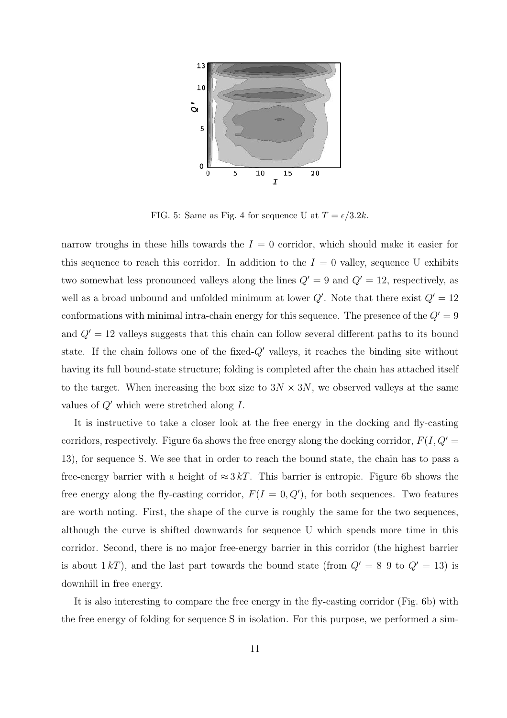

FIG. 5: Same as Fig. 4 for sequence U at  $T = \epsilon/3.2k$ .

narrow troughs in these hills towards the  $I = 0$  corridor, which should make it easier for this sequence to reach this corridor. In addition to the  $I = 0$  valley, sequence U exhibits two somewhat less pronounced valleys along the lines  $Q' = 9$  and  $Q' = 12$ , respectively, as well as a broad unbound and unfolded minimum at lower  $Q'$ . Note that there exist  $Q' = 12$ conformations with minimal intra-chain energy for this sequence. The presence of the  $Q' = 9$ and  $Q' = 12$  valleys suggests that this chain can follow several different paths to its bound state. If the chain follows one of the fixed- $Q'$  valleys, it reaches the binding site without having its full bound-state structure; folding is completed after the chain has attached itself to the target. When increasing the box size to  $3N \times 3N$ , we observed valleys at the same values of  $Q'$  which were stretched along I.

It is instructive to take a closer look at the free energy in the docking and fly-casting corridors, respectively. Figure 6a shows the free energy along the docking corridor,  $F(I, Q)$ 13), for sequence S. We see that in order to reach the bound state, the chain has to pass a free-energy barrier with a height of  $\approx 3 kT$ . This barrier is entropic. Figure 6b shows the free energy along the fly-casting corridor,  $F(I = 0, Q')$ , for both sequences. Two features are worth noting. First, the shape of the curve is roughly the same for the two sequences, although the curve is shifted downwards for sequence U which spends more time in this corridor. Second, there is no major free-energy barrier in this corridor (the highest barrier is about 1 kT), and the last part towards the bound state (from  $Q' = 8-9$  to  $Q' = 13$ ) is downhill in free energy.

It is also interesting to compare the free energy in the fly-casting corridor (Fig. 6b) with the free energy of folding for sequence S in isolation. For this purpose, we performed a sim-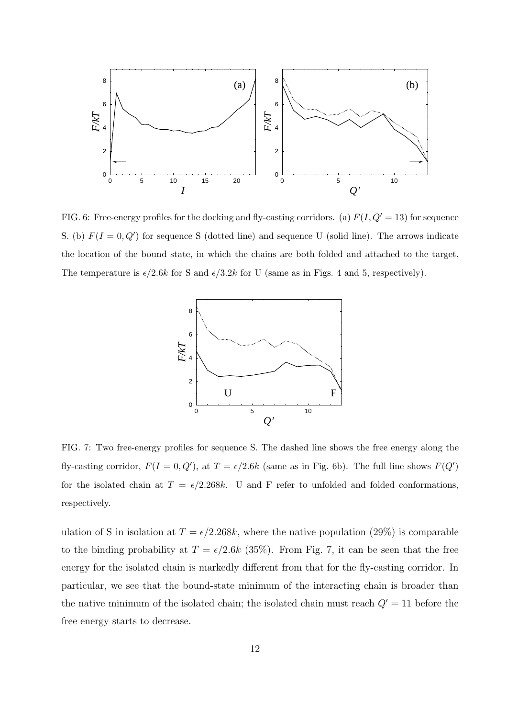

FIG. 6: Free-energy profiles for the docking and fly-casting corridors. (a)  $F(I, Q' = 13)$  for sequence S. (b)  $F(I = 0, Q')$  for sequence S (dotted line) and sequence U (solid line). The arrows indicate the location of the bound state, in which the chains are both folded and attached to the target. The temperature is  $\epsilon/2.6k$  for S and  $\epsilon/3.2k$  for U (same as in Figs. 4 and 5, respectively).



FIG. 7: Two free-energy profiles for sequence S. The dashed line shows the free energy along the fly-casting corridor,  $F(I = 0, Q')$ , at  $T = \epsilon/2.6k$  (same as in Fig. 6b). The full line shows  $F(Q')$ for the isolated chain at  $T = \epsilon/2.268k$ . U and F refer to unfolded and folded conformations, respectively.

ulation of S in isolation at  $T = \epsilon/2.268k$ , where the native population (29%) is comparable to the binding probability at  $T = \epsilon/2.6k$  (35%). From Fig. 7, it can be seen that the free energy for the isolated chain is markedly different from that for the fly-casting corridor. In particular, we see that the bound-state minimum of the interacting chain is broader than the native minimum of the isolated chain; the isolated chain must reach  $Q' = 11$  before the free energy starts to decrease.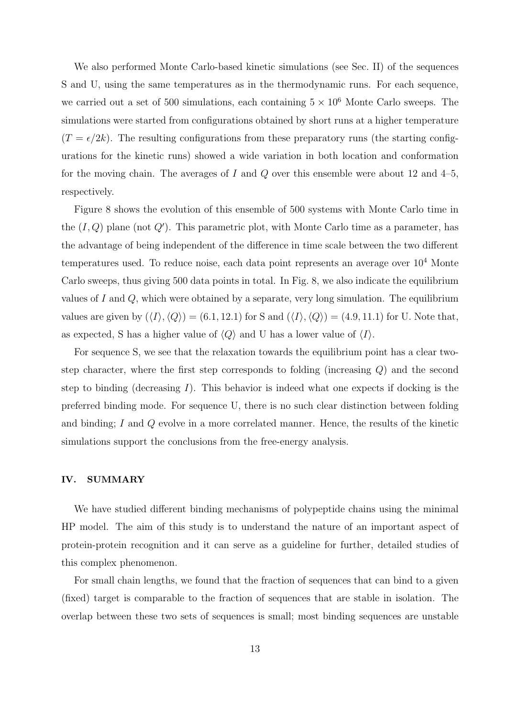We also performed Monte Carlo-based kinetic simulations (see Sec. II) of the sequences S and U, using the same temperatures as in the thermodynamic runs. For each sequence, we carried out a set of 500 simulations, each containing  $5 \times 10^6$  Monte Carlo sweeps. The simulations were started from configurations obtained by short runs at a higher temperature  $(T = \epsilon/2k)$ . The resulting configurations from these preparatory runs (the starting configurations for the kinetic runs) showed a wide variation in both location and conformation for the moving chain. The averages of I and Q over this ensemble were about 12 and  $4-5$ , respectively.

Figure 8 shows the evolution of this ensemble of 500 systems with Monte Carlo time in the  $(I, Q)$  plane (not  $Q'$ ). This parametric plot, with Monte Carlo time as a parameter, has the advantage of being independent of the difference in time scale between the two different temperatures used. To reduce noise, each data point represents an average over  $10<sup>4</sup>$  Monte Carlo sweeps, thus giving 500 data points in total. In Fig. 8, we also indicate the equilibrium values of I and Q, which were obtained by a separate, very long simulation. The equilibrium values are given by  $(\langle I \rangle, \langle Q \rangle) = (6.1, 12.1)$  for S and  $(\langle I \rangle, \langle Q \rangle) = (4.9, 11.1)$  for U. Note that, as expected, S has a higher value of  $\langle Q \rangle$  and U has a lower value of  $\langle I \rangle$ .

For sequence S, we see that the relaxation towards the equilibrium point has a clear twostep character, where the first step corresponds to folding (increasing Q) and the second step to binding (decreasing I). This behavior is indeed what one expects if docking is the preferred binding mode. For sequence U, there is no such clear distinction between folding and binding; I and Q evolve in a more correlated manner. Hence, the results of the kinetic simulations support the conclusions from the free-energy analysis.

# IV. SUMMARY

We have studied different binding mechanisms of polypeptide chains using the minimal HP model. The aim of this study is to understand the nature of an important aspect of protein-protein recognition and it can serve as a guideline for further, detailed studies of this complex phenomenon.

For small chain lengths, we found that the fraction of sequences that can bind to a given (fixed) target is comparable to the fraction of sequences that are stable in isolation. The overlap between these two sets of sequences is small; most binding sequences are unstable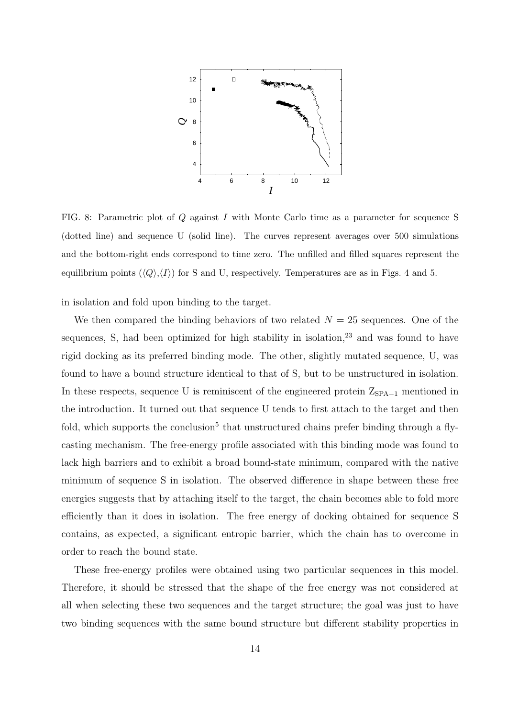

FIG. 8: Parametric plot of Q against I with Monte Carlo time as a parameter for sequence S (dotted line) and sequence U (solid line). The curves represent averages over 500 simulations and the bottom-right ends correspond to time zero. The unfilled and filled squares represent the equilibrium points  $(\langle Q \rangle, \langle I \rangle)$  for S and U, respectively. Temperatures are as in Figs. 4 and 5.

in isolation and fold upon binding to the target.

We then compared the binding behaviors of two related  $N = 25$  sequences. One of the sequences, S, had been optimized for high stability in isolation, $23$  and was found to have rigid docking as its preferred binding mode. The other, slightly mutated sequence, U, was found to have a bound structure identical to that of S, but to be unstructured in isolation. In these respects, sequence U is reminiscent of the engineered protein  $Z_{\text{SPA}-1}$  mentioned in the introduction. It turned out that sequence U tends to first attach to the target and then fold, which supports the conclusion<sup>5</sup> that unstructured chains prefer binding through a flycasting mechanism. The free-energy profile associated with this binding mode was found to lack high barriers and to exhibit a broad bound-state minimum, compared with the native minimum of sequence S in isolation. The observed difference in shape between these free energies suggests that by attaching itself to the target, the chain becomes able to fold more efficiently than it does in isolation. The free energy of docking obtained for sequence S contains, as expected, a significant entropic barrier, which the chain has to overcome in order to reach the bound state.

These free-energy profiles were obtained using two particular sequences in this model. Therefore, it should be stressed that the shape of the free energy was not considered at all when selecting these two sequences and the target structure; the goal was just to have two binding sequences with the same bound structure but different stability properties in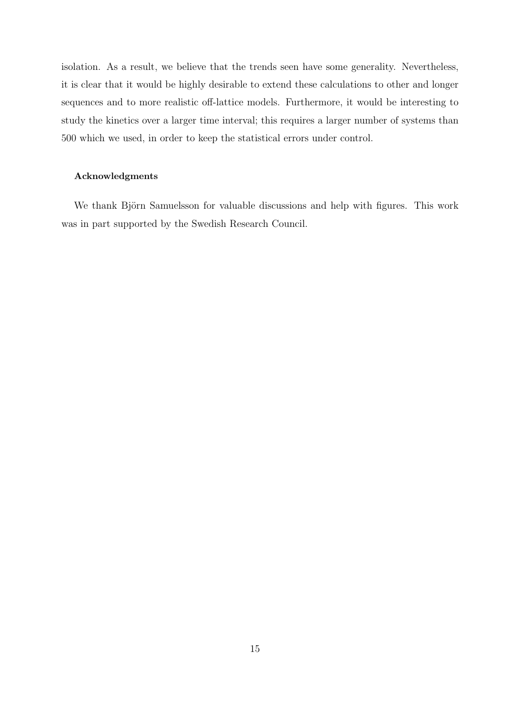isolation. As a result, we believe that the trends seen have some generality. Nevertheless, it is clear that it would be highly desirable to extend these calculations to other and longer sequences and to more realistic off-lattice models. Furthermore, it would be interesting to study the kinetics over a larger time interval; this requires a larger number of systems than 500 which we used, in order to keep the statistical errors under control.

# Acknowledgments

We thank Björn Samuelsson for valuable discussions and help with figures. This work was in part supported by the Swedish Research Council.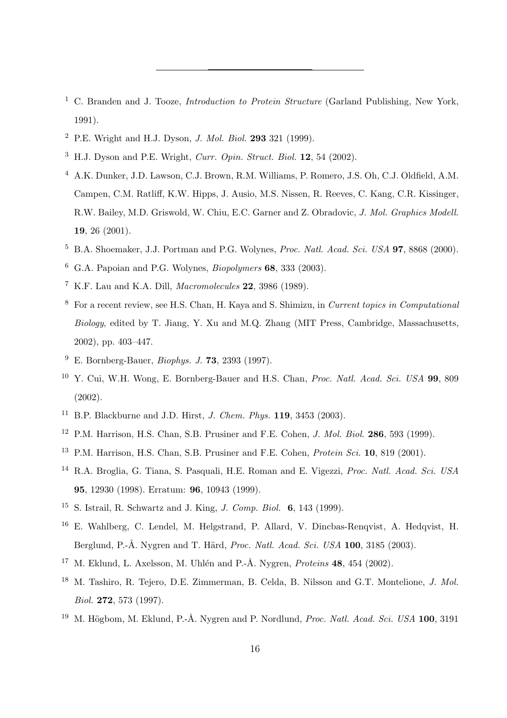- <sup>1</sup> C. Branden and J. Tooze, *Introduction to Protein Structure* (Garland Publishing, New York, 1991).
- <sup>2</sup> P.E. Wright and H.J. Dyson, *J. Mol. Biol.* **293** 321 (1999).
- $3$  H.J. Dyson and P.E. Wright, *Curr. Opin. Struct. Biol.* **12**, 54 (2002).
- <sup>4</sup> A.K. Dunker, J.D. Lawson, C.J. Brown, R.M. Williams, P. Romero, J.S. Oh, C.J. Oldfield, A.M. Campen, C.M. Ratliff, K.W. Hipps, J. Ausio, M.S. Nissen, R. Reeves, C. Kang, C.R. Kissinger, R.W. Bailey, M.D. Griswold, W. Chiu, E.C. Garner and Z. Obradovic, J. Mol. Graphics Modell. 19, 26 (2001).
- $5$  B.A. Shoemaker, J.J. Portman and P.G. Wolynes, *Proc. Natl. Acad. Sci. USA* **97**, 8868 (2000).
- $6\,$  G.A. Papoian and P.G. Wolynes, *Biopolymers* 68, 333 (2003).
- <sup>7</sup> K.F. Lau and K.A. Dill, Macromolecules 22, 3986 (1989).
- <sup>8</sup> For a recent review, see H.S. Chan, H. Kaya and S. Shimizu, in Current topics in Computational Biology, edited by T. Jiang, Y. Xu and M.Q. Zhang (MIT Press, Cambridge, Massachusetts, 2002), pp. 403–447.
- $9\,$  E. Bornberg-Bauer, *Biophys. J.* **73**, 2393 (1997).
- <sup>10</sup> Y. Cui, W.H. Wong, E. Bornberg-Bauer and H.S. Chan, *Proc. Natl. Acad. Sci. USA* 99, 809 (2002).
- <sup>11</sup> B.P. Blackburne and J.D. Hirst, *J. Chem. Phys.* **119**, 3453 (2003).
- <sup>12</sup> P.M. Harrison, H.S. Chan, S.B. Prusiner and F.E. Cohen, *J. Mol. Biol.* **286**, 593 (1999).
- <sup>13</sup> P.M. Harrison, H.S. Chan, S.B. Prusiner and F.E. Cohen, *Protein Sci.* **10**, 819 (2001).
- <sup>14</sup> R.A. Broglia, G. Tiana, S. Pasquali, H.E. Roman and E. Vigezzi, *Proc. Natl. Acad. Sci. USA* 95, 12930 (1998). Erratum: 96, 10943 (1999).
- $15$  S. Istrail, R. Schwartz and J. King, *J. Comp. Biol.* **6**, 143 (1999).
- <sup>16</sup> E. Wahlberg, C. Lendel, M. Helgstrand, P. Allard, V. Dincbas-Renqvist, A. Hedqvist, H. Berglund, P.-Å. Nygren and T. Härd, Proc. Natl. Acad. Sci. USA 100, 3185 (2003).
- <sup>17</sup> M. Eklund, L. Axelsson, M. Uhlén and P.-Å. Nygren, *Proteins* **48**, 454 (2002).
- <sup>18</sup> M. Tashiro, R. Tejero, D.E. Zimmerman, B. Celda, B. Nilsson and G.T. Montelione, J. Mol. Biol. 272, 573 (1997).
- <sup>19</sup> M. Högbom, M. Eklund, P.-Å. Nygren and P. Nordlund, *Proc. Natl. Acad. Sci. USA* 100, 3191